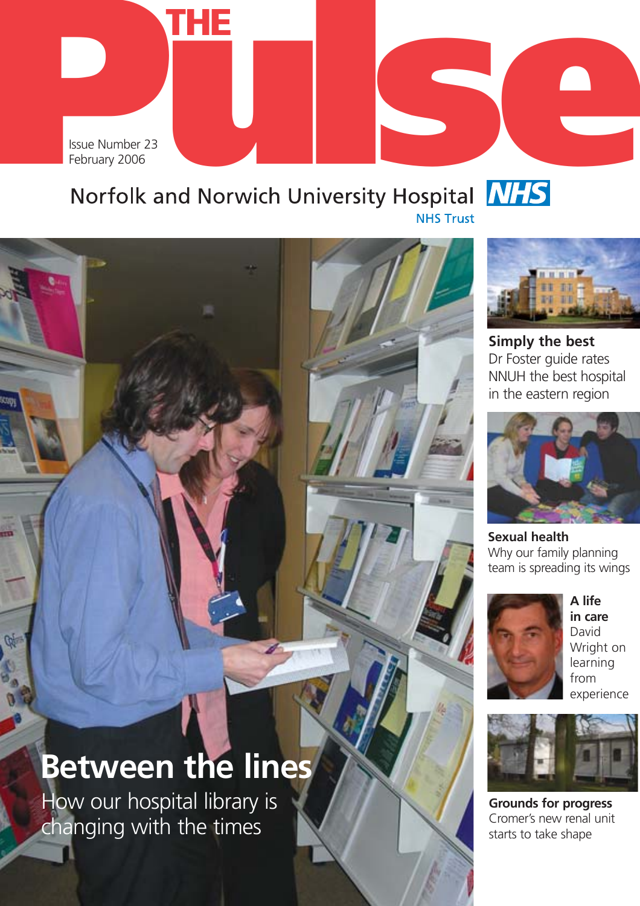



**Simply the best** Dr Foster guide rates NNUH the best hospital in the eastern region



**Sexual health** Why our family planning team is spreading its wings



**A life in care** David Wright on learning from experience



**Grounds for progress** Cromer's new renal unit starts to take shape

# **Between the lines**

How our hospital library is changing with the times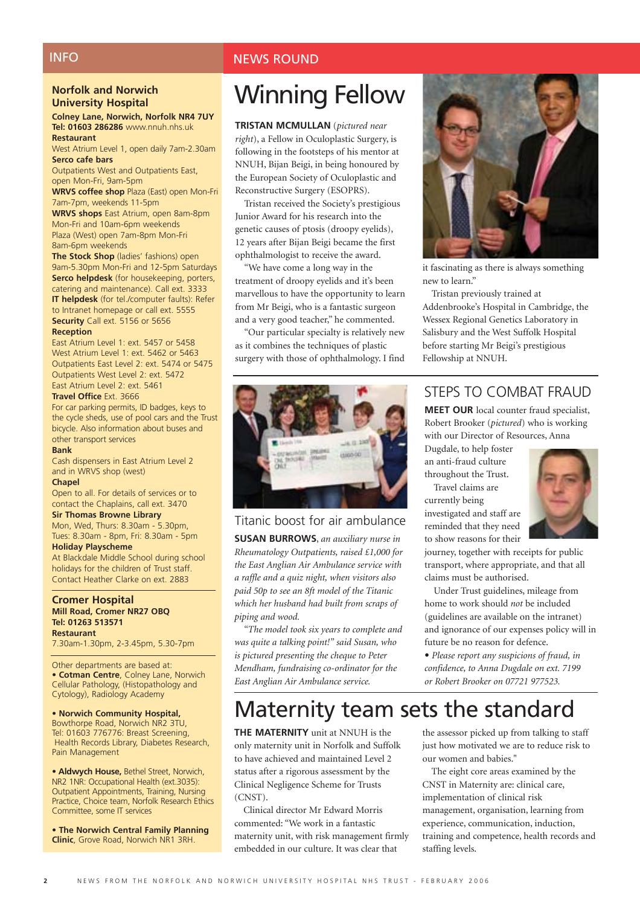## **INFO**

#### **Norfolk and Norwich University Hospital**

#### **Colney Lane, Norwich, Norfolk NR4 7UY Tel: 01603 286286** www.nnuh.nhs.uk **Restaurant**

West Atrium Level 1, open daily 7am-2.30am **Serco cafe bars** 

Outpatients West and Outpatients East, open Mon-Fri, 9am-5pm

**WRVS coffee shop** Plaza (East) open Mon-Fri 7am-7pm, weekends 11-5pm

**WRVS shops** East Atrium, open 8am-8pm Mon-Fri and 10am-6pm weekends Plaza (West) open 7am-8pm Mon-Fri 8am-6pm weekends

**The Stock Shop** (ladies' fashions) open 9am-5.30pm Mon-Fri and 12-5pm Saturdays **Serco helpdesk** (for housekeeping, porters, catering and maintenance). Call ext. 3333 **IT helpdesk** (for tel./computer faults): Refer to Intranet homepage or call ext. 5555 **Security** Call ext. 5156 or 5656

#### **Reception**

East Atrium Level 1: ext. 5457 or 5458 West Atrium Level 1: ext. 5462 or 5463 Outpatients East Level 2: ext. 5474 or 5475 Outpatients West Level 2: ext. 5472 East Atrium Level 2: ext. 5461

#### **Travel Office** Ext. 3666

For car parking permits, ID badges, keys to the cycle sheds, use of pool cars and the Trust bicycle. Also information about buses and other transport services

#### **Bank**

Cash dispensers in East Atrium Level 2 and in WRVS shop (west)

#### **Chapel**

Open to all. For details of services or to contact the Chaplains, call ext. 3470

#### **Sir Thomas Browne Library**

Mon, Wed, Thurs: 8.30am - 5.30pm, Tues: 8.30am - 8pm, Fri: 8.30am - 5pm **Holiday Playscheme**

At Blackdale Middle School during school holidays for the children of Trust staff. Contact Heather Clarke on ext. 2883

#### **Cromer Hospital Mill Road, Cromer NR27 OBQ Tel: 01263 513571 Restaurant**

7.30am-1.30pm, 2-3.45pm, 5.30-7pm

Other departments are based at: • **Cotman Centre**, Colney Lane, Norwich Cellular Pathology, (Histopathology and Cytology), Radiology Academy

#### • **Norwich Community Hospital,**

Bowthorpe Road, Norwich NR2 3TU, Tel: 01603 776776: Breast Screening, Health Records Library, Diabetes Research, Pain Management

**• Aldwych House,** Bethel Street, Norwich, NR2 1NR: Occupational Health (ext.3035): Outpatient Appointments, Training, Nursing Practice, Choice team, Norfolk Research Ethics Committee, some IT services

• **The Norwich Central Family Planning Clinic**, Grove Road, Norwich NR1 3RH.

## NEWS ROUND

## Winning Fellow

**TRISTAN MCMULLAN** (*pictured near right*), a Fellow in Oculoplastic Surgery, is following in the footsteps of his mentor at NNUH, Bijan Beigi, in being honoured by the European Society of Oculoplastic and Reconstructive Surgery (ESOPRS).

Tristan received the Society's prestigious Junior Award for his research into the genetic causes of ptosis (droopy eyelids), 12 years after Bijan Beigi became the first ophthalmologist to receive the award.

"We have come a long way in the treatment of droopy eyelids and it's been marvellous to have the opportunity to learn from Mr Beigi, who is a fantastic surgeon and a very good teacher," he commented.

"Our particular specialty is relatively new as it combines the techniques of plastic surgery with those of ophthalmology. I find



#### Titanic boost for air ambulance

**SUSAN BURROWS**, *an auxiliary nurse in Rheumatology Outpatients, raised £1,000 for the East Anglian Air Ambulance service with a raffle and a quiz night, when visitors also paid 50p to see an 8ft model of the Titanic which her husband had built from scraps of piping and wood.*

*"The model took six years to complete and was quite a talking point!" said Susan, who is pictured presenting the cheque to Peter Mendham, fundraising co-ordinator for the East Anglian Air Ambulance service.*



it fascinating as there is always something new to learn."

Tristan previously trained at Addenbrooke's Hospital in Cambridge, the Wessex Regional Genetics Laboratory in Salisbury and the West Suffolk Hospital before starting Mr Beigi's prestigious Fellowship at NNUH.

## STEPS TO COMBAT FRAUD

**MEET OUR** local counter fraud specialist, Robert Brooker (*pictured*) who is working with our Director of Resources, Anna

Dugdale, to help foster an anti-fraud culture throughout the Trust.

Travel claims are currently being investigated and staff are reminded that they need to show reasons for their



journey, together with receipts for public transport, where appropriate, and that all claims must be authorised.

Under Trust guidelines, mileage from home to work should *not* be included (guidelines are available on the intranet) and ignorance of our expenses policy will in future be no reason for defence.

**•** *Please report any suspicions of fraud, in confidence, to Anna Dugdale on ext. 7199 or Robert Brooker on 07721 977523.*

## Maternity team sets the standard

**THE MATERNITY** unit at NNUH is the only maternity unit in Norfolk and Suffolk to have achieved and maintained Level 2 status after a rigorous assessment by the Clinical Negligence Scheme for Trusts (CNST).

Clinical director Mr Edward Morris commented: "We work in a fantastic maternity unit, with risk management firmly embedded in our culture. It was clear that

the assessor picked up from talking to staff just how motivated we are to reduce risk to our women and babies."

The eight core areas examined by the CNST in Maternity are: clinical care, implementation of clinical risk management, organisation, learning from experience, communication, induction, training and competence, health records and staffing levels.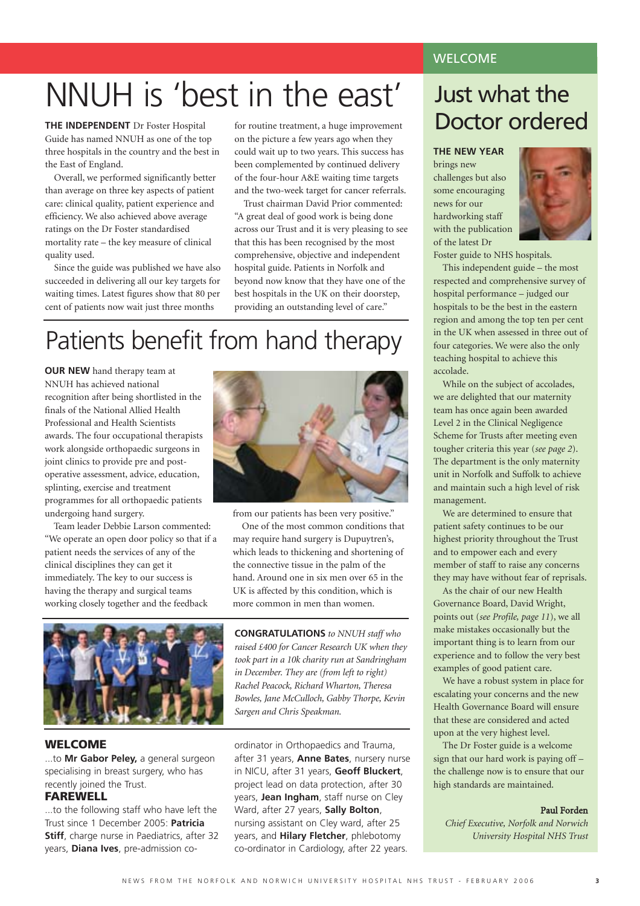## NNUH is 'best in the east'

**THE INDEPENDENT** Dr Foster Hospital Guide has named NNUH as one of the top three hospitals in the country and the best in the East of England.

Overall, we performed significantly better than average on three key aspects of patient care: clinical quality, patient experience and efficiency. We also achieved above average ratings on the Dr Foster standardised mortality rate – the key measure of clinical quality used.

Since the guide was published we have also succeeded in delivering all our key targets for waiting times. Latest figures show that 80 per cent of patients now wait just three months

for routine treatment, a huge improvement on the picture a few years ago when they could wait up to two years. This success has been complemented by continued delivery of the four-hour A&E waiting time targets and the two-week target for cancer referrals.

Trust chairman David Prior commented: "A great deal of good work is being done across our Trust and it is very pleasing to see that this has been recognised by the most comprehensive, objective and independent hospital guide. Patients in Norfolk and beyond now know that they have one of the best hospitals in the UK on their doorstep, providing an outstanding level of care."

## Patients benefit from hand therapy

**OUR NEW** hand therapy team at NNUH has achieved national recognition after being shortlisted in the finals of the National Allied Health Professional and Health Scientists awards. The four occupational therapists work alongside orthopaedic surgeons in joint clinics to provide pre and postoperative assessment, advice, education, splinting, exercise and treatment programmes for all orthopaedic patients undergoing hand surgery.

Team leader Debbie Larson commented: "We operate an open door policy so that if a patient needs the services of any of the clinical disciplines they can get it immediately. The key to our success is having the therapy and surgical teams working closely together and the feedback



#### **WELCOME**

...to **Mr Gabor Peley,** a general surgeon specialising in breast surgery, who has recently joined the Trust.

## **FAREWELL**

to the following staff who have left the Trust since 1 December 2005: **Patricia Stiff**, charge nurse in Paediatrics, after 32 years, **Diana Ives**, pre-admission co-



from our patients has been very positive."

One of the most common conditions that may require hand surgery is Dupuytren's, which leads to thickening and shortening of the connective tissue in the palm of the hand. Around one in six men over 65 in the UK is affected by this condition, which is more common in men than women.

**CONGRATULATIONS** *to NNUH staff who raised £400 for Cancer Research UK when they took part in a 10k charity run at Sandringham in December. They are (from left to right) Rachel Peacock, Richard Wharton, Theresa Bowles, Jane McCulloch, Gabby Thorpe, Kevin Sargen and Chris Speakman.*

ordinator in Orthopaedics and Trauma, after 31 years, **Anne Bates**, nursery nurse in NICU, after 31 years, **Geoff Bluckert**, project lead on data protection, after 30 years, **Jean Ingham**, staff nurse on Cley Ward, after 27 years, **Sally Bolton**, nursing assistant on Cley ward, after 25 years, and **Hilary Fletcher**, phlebotomy co-ordinator in Cardiology, after 22 years.

## WELCOME

## Just what the Doctor ordered

#### **THE NEW YEAR**

brings new challenges but also some encouraging news for our hardworking staff with the publication of the latest Dr



Foster guide to NHS hospitals.

This independent guide – the most respected and comprehensive survey of hospital performance – judged our hospitals to be the best in the eastern region and among the top ten per cent in the UK when assessed in three out of four categories. We were also the only teaching hospital to achieve this accolade.

While on the subject of accolades, we are delighted that our maternity team has once again been awarded Level 2 in the Clinical Negligence Scheme for Trusts after meeting even tougher criteria this year (*see page 2*). The department is the only maternity unit in Norfolk and Suffolk to achieve and maintain such a high level of risk management.

We are determined to ensure that patient safety continues to be our highest priority throughout the Trust and to empower each and every member of staff to raise any concerns they may have without fear of reprisals.

As the chair of our new Health Governance Board, David Wright, points out (*see Profile, page 11*), we all make mistakes occasionally but the important thing is to learn from our experience and to follow the very best examples of good patient care.

We have a robust system in place for escalating your concerns and the new Health Governance Board will ensure that these are considered and acted upon at the very highest level.

The Dr Foster guide is a welcome sign that our hard work is paying off – the challenge now is to ensure that our high standards are maintained.

#### Paul Forden

*Chief Executive, Norfolk and Norwich University Hospital NHS Trust*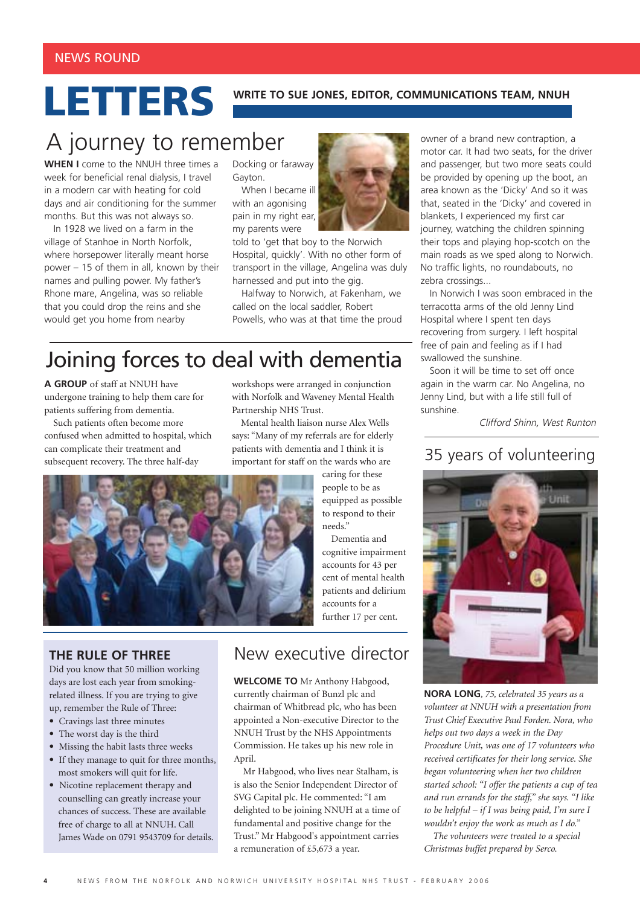# **LETTERS** WRITE TO SUE JONES, EDITOR, COMMUNICATIONS TEAM, NNUH

## A journey to remember

**WHEN I** come to the NNUH three times a week for beneficial renal dialysis, I travel in a modern car with heating for cold days and air conditioning for the summer months. But this was not always so.

In 1928 we lived on a farm in the village of Stanhoe in North Norfolk, where horsepower literally meant horse power – 15 of them in all, known by their names and pulling power. My father's Rhone mare, Angelina, was so reliable that you could drop the reins and she would get you home from nearby

#### Docking or faraway Gayton.

When I became ill with an agonising pain in my right ear, my parents were

told to 'get that boy to the Norwich Hospital, quickly'. With no other form of transport in the village, Angelina was duly harnessed and put into the gig.

Halfway to Norwich, at Fakenham, we called on the local saddler, Robert Powells, who was at that time the proud

## Joining forces to deal with dementia

**A GROUP** of staff at NNUH have undergone training to help them care for patients suffering from dementia.

Such patients often become more confused when admitted to hospital, which can complicate their treatment and subsequent recovery. The three half-day

workshops were arranged in conjunction with Norfolk and Waveney Mental Health Partnership NHS Trust.

Mental health liaison nurse Alex Wells says: "Many of my referrals are for elderly patients with dementia and I think it is important for staff on the wards who are



**THE RULE OF THREE**

Did you know that 50 million working days are lost each year from smokingrelated illness. If you are trying to give up, remember the Rule of Three:

- **•** Cravings last three minutes
- **•** The worst day is the third
- **•** Missing the habit lasts three weeks
- **•** If they manage to quit for three months, most smokers will quit for life.
- Nicotine replacement therapy and counselling can greatly increase your chances of success. These are available free of charge to all at NNUH. Call James Wade on 0791 9543709 for details.

## New executive director

Dementia and

**WELCOME TO** Mr Anthony Habgood, currently chairman of Bunzl plc and chairman of Whitbread plc, who has been appointed a Non-executive Director to the NNUH Trust by the NHS Appointments Commission. He takes up his new role in April.

Mr Habgood, who lives near Stalham, is is also the Senior Independent Director of SVG Capital plc. He commented: "I am delighted to be joining NNUH at a time of fundamental and positive change for the Trust." Mr Habgood's appointment carries a remuneration of £5,673 a year.



In Norwich I was soon embraced in the terracotta arms of the old Jenny Lind Hospital where I spent ten days recovering from surgery. I left hospital free of pain and feeling as if I had swallowed the sunshine.

Soon it will be time to set off once again in the warm car. No Angelina, no Jenny Lind, but with a life still full of sunshine.

Clifford Shinn, West Runton

## 35 years of volunteering



**NORA LONG***, 75, celebrated 35 years as a volunteer at NNUH with a presentation from Trust Chief Executive Paul Forden. Nora, who helps out two days a week in the Day Procedure Unit, was one of 17 volunteers who received certificates for their long service. She began volunteering when her two children started school: "I offer the patients a cup of tea and run errands for the staff," she says. "I like to be helpful – if I was being paid, I'm sure I wouldn't enjoy the work as much as I do."*

*The volunteers were treated to a special Christmas buffet prepared by Serco.*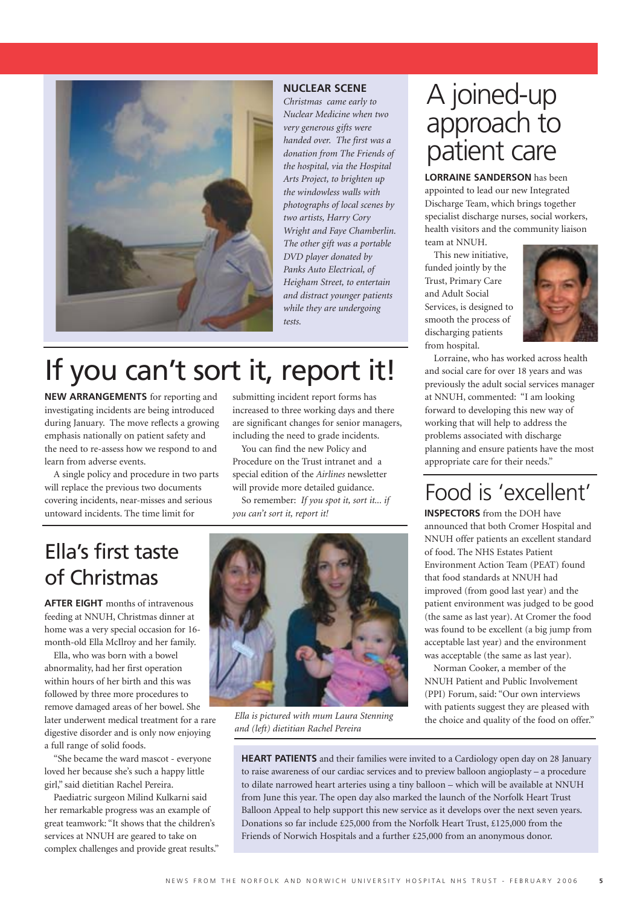

#### **NUCLEAR SCENE**

*Christmas came early to Nuclear Medicine when two very generous gifts were handed over. The first was a donation from The Friends of the hospital, via the Hospital Arts Project, to brighten up the windowless walls with photographs of local scenes by two artists, Harry Cory Wright and Faye Chamberlin. The other gift was a portable DVD player donated by Panks Auto Electrical, of Heigham Street, to entertain and distract younger patients while they are undergoing tests.*

## If you can't sort it, report it!

**NEW ARRANGEMENTS** for reporting and investigating incidents are being introduced during January. The move reflects a growing emphasis nationally on patient safety and the need to re-assess how we respond to and learn from adverse events.

A single policy and procedure in two parts will replace the previous two documents covering incidents, near-misses and serious untoward incidents. The time limit for

submitting incident report forms has increased to three working days and there are significant changes for senior managers, including the need to grade incidents.

You can find the new Policy and Procedure on the Trust intranet and a special edition of the *Airlines* newsletter will provide more detailed guidance.

So remember: *If you spot it, sort it... if you can't sort it, report it!* 

## Ella's first taste of Christmas

**AFTER EIGHT** months of intravenous feeding at NNUH, Christmas dinner at home was a very special occasion for 16 month-old Ella McIlroy and her family.

Ella, who was born with a bowel abnormality, had her first operation within hours of her birth and this was followed by three more procedures to remove damaged areas of her bowel. She later underwent medical treatment for a rare digestive disorder and is only now enjoying a full range of solid foods.

"She became the ward mascot - everyone loved her because she's such a happy little girl," said dietitian Rachel Pereira.

Paediatric surgeon Milind Kulkarni said her remarkable progress was an example of great teamwork: "It shows that the children's services at NNUH are geared to take on complex challenges and provide great results."



*and (left) dietitian Rachel Pereira* 

## A joined-up approach to patient care

**LORRAINE SANDERSON** has been appointed to lead our new Integrated Discharge Team, which brings together specialist discharge nurses, social workers, health visitors and the community liaison

team at NNUH. This new initiative, funded jointly by the Trust, Primary Care and Adult Social Services, is designed to smooth the process of discharging patients from hospital.



Lorraine, who has worked across health and social care for over 18 years and was previously the adult social services manager at NNUH, commented: "I am looking forward to developing this new way of working that will help to address the problems associated with discharge planning and ensure patients have the most appropriate care for their needs."

## Food is 'excellent'

**INSPECTORS** from the DOH have announced that both Cromer Hospital and NNUH offer patients an excellent standard of food. The NHS Estates Patient Environment Action Team (PEAT) found that food standards at NNUH had improved (from good last year) and the patient environment was judged to be good (the same as last year). At Cromer the food was found to be excellent (a big jump from acceptable last year) and the environment was acceptable (the same as last year).

Norman Cooker, a member of the NNUH Patient and Public Involvement (PPI) Forum, said: "Our own interviews with patients suggest they are pleased with Ella is pictured with mum Laura Stenning<br>the choice and quality of the food on offer."

**HEART PATIENTS** and their families were invited to a Cardiology open day on 28 January to raise awareness of our cardiac services and to preview balloon angioplasty – a procedure to dilate narrowed heart arteries using a tiny balloon – which will be available at NNUH from June this year. The open day also marked the launch of the Norfolk Heart Trust Balloon Appeal to help support this new service as it develops over the next seven years. Donations so far include £25,000 from the Norfolk Heart Trust, £125,000 from the Friends of Norwich Hospitals and a further £25,000 from an anonymous donor.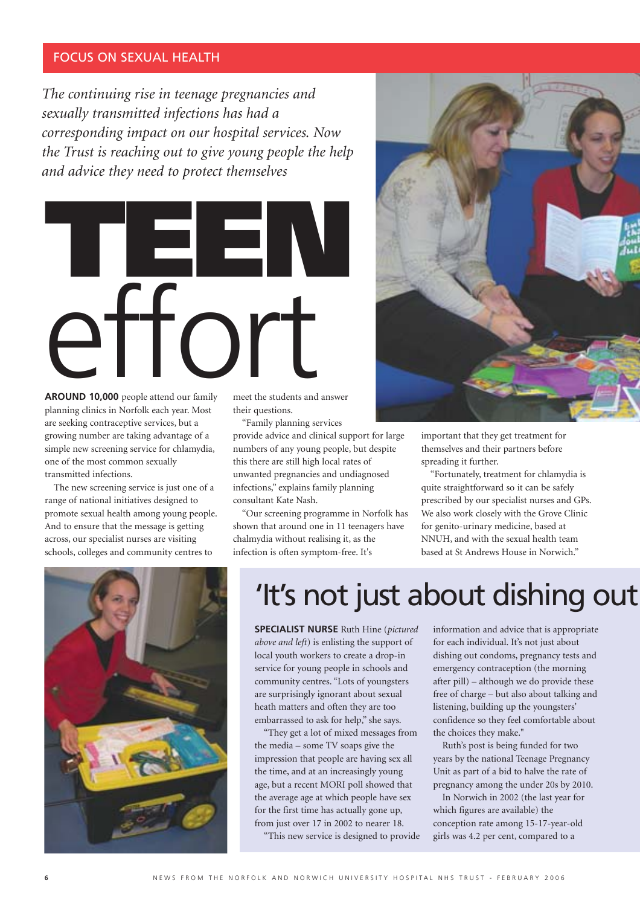## FOCUS ON SEXUAL HEALTH

*The continuing rise in teenage pregnancies and sexually transmitted infections has had a corresponding impact on our hospital services. Now the Trust is reaching out to give young people the help and advice they need to protect themselves*



**AROUND 10,000** people attend our family planning clinics in Norfolk each year. Most are seeking contraceptive services, but a growing number are taking advantage of a simple new screening service for chlamydia, one of the most common sexually transmitted infections.

The new screening service is just one of a range of national initiatives designed to promote sexual health among young people. And to ensure that the message is getting across, our specialist nurses are visiting schools, colleges and community centres to

meet the students and answer their questions.

"Family planning services provide advice and clinical support for large numbers of any young people, but despite this there are still high local rates of unwanted pregnancies and undiagnosed infections," explains family planning consultant Kate Nash.

"Our screening programme in Norfolk has shown that around one in 11 teenagers have chalmydia without realising it, as the infection is often symptom-free. It's



important that they get treatment for themselves and their partners before spreading it further.

"Fortunately, treatment for chlamydia is quite straightforward so it can be safely prescribed by our specialist nurses and GPs. We also work closely with the Grove Clinic for genito-urinary medicine, based at NNUH, and with the sexual health team based at St Andrews House in Norwich."



## 'It's not just about dishing out

**SPECIALIST NURSE** Ruth Hine (*pictured above and left*) is enlisting the support of local youth workers to create a drop-in service for young people in schools and community centres. "Lots of youngsters are surprisingly ignorant about sexual heath matters and often they are too embarrassed to ask for help," she says.

"They get a lot of mixed messages from the media – some TV soaps give the impression that people are having sex all the time, and at an increasingly young age, but a recent MORI poll showed that the average age at which people have sex for the first time has actually gone up, from just over 17 in 2002 to nearer 18.

"This new service is designed to provide

information and advice that is appropriate for each individual. It's not just about dishing out condoms, pregnancy tests and emergency contraception (the morning after pill) – although we do provide these free of charge – but also about talking and listening, building up the youngsters' confidence so they feel comfortable about the choices they make."

Ruth's post is being funded for two years by the national Teenage Pregnancy Unit as part of a bid to halve the rate of pregnancy among the under 20s by 2010.

In Norwich in 2002 (the last year for which figures are available) the conception rate among 15-17-year-old girls was 4.2 per cent, compared to a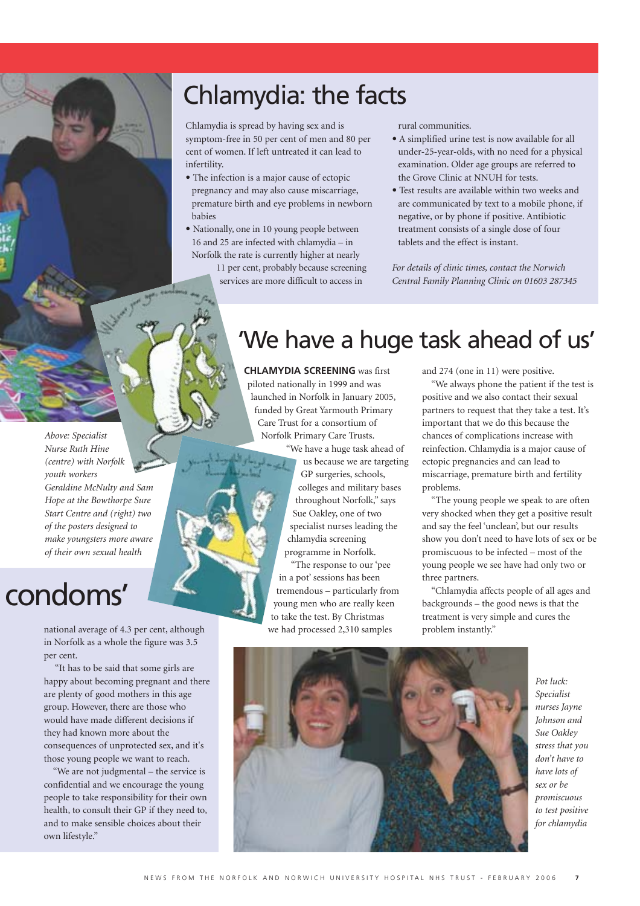## Chlamydia: the facts

Chlamydia is spread by having sex and is symptom-free in 50 per cent of men and 80 per cent of women. If left untreated it can lead to infertility.

- **•** The infection is a major cause of ectopic pregnancy and may also cause miscarriage, premature birth and eye problems in newborn babies
- **•** Nationally, one in 10 young people between 16 and 25 are infected with chlamydia – in Norfolk the rate is currently higher at nearly
	- 11 per cent, probably because screening services are more difficult to access in

rural communities.

- **•** A simplified urine test is now available for all under-25-year-olds, with no need for a physical examination. Older age groups are referred to the Grove Clinic at NNUH for tests.
- **•** Test results are available within two weeks and are communicated by text to a mobile phone, if negative, or by phone if positive. Antibiotic treatment consists of a single dose of four tablets and the effect is instant.

*For details of clinic times, contact the Norwich Central Family Planning Clinic on 01603 287345*

*Above: Specialist Nurse Ruth Hine (centre) with Norfolk youth workers Geraldine McNulty and Sam Hope at the Bowthorpe Sure Start Centre and (right) two of the posters designed to make youngsters more aware of their own sexual health* 

## condoms'

national average of 4.3 per cent, although we had processed 2,310 samples problem instantly." in Norfolk as a whole the figure was 3.5 per cent.

"It has to be said that some girls are happy about becoming pregnant and there are plenty of good mothers in this age group. However, there are those who would have made different decisions if they had known more about the consequences of unprotected sex, and it's those young people we want to reach.

"We are not judgmental – the service is confidential and we encourage the young people to take responsibility for their own health, to consult their GP if they need to, and to make sensible choices about their own lifestyle."

## 'We have a huge task ahead of us'

**CHLAMYDIA SCREENING** was first piloted nationally in 1999 and was launched in Norfolk in January 2005, funded by Great Yarmouth Primary Care Trust for a consortium of Norfolk Primary Care Trusts.

"We have a huge task ahead of us because we are targeting GP surgeries, schools, colleges and military bases throughout Norfolk," says Sue Oakley, one of two specialist nurses leading the chlamydia screening programme in Norfolk.

"The response to our 'pee in a pot' sessions has been tremendous – particularly from young men who are really keen to take the test. By Christmas we had processed 2,310 samples

and 274 (one in 11) were positive.

"We always phone the patient if the test is positive and we also contact their sexual partners to request that they take a test. It's important that we do this because the chances of complications increase with reinfection. Chlamydia is a major cause of ectopic pregnancies and can lead to miscarriage, premature birth and fertility problems.

"The young people we speak to are often very shocked when they get a positive result and say the feel 'unclean', but our results show you don't need to have lots of sex or be promiscuous to be infected – most of the young people we see have had only two or three partners.

"Chlamydia affects people of all ages and backgrounds – the good news is that the treatment is very simple and cures the



*Pot luck: Specialist nurses Jayne Johnson and Sue Oakley stress that you don't have to have lots of sex or be promiscuous to test positive for chlamydia*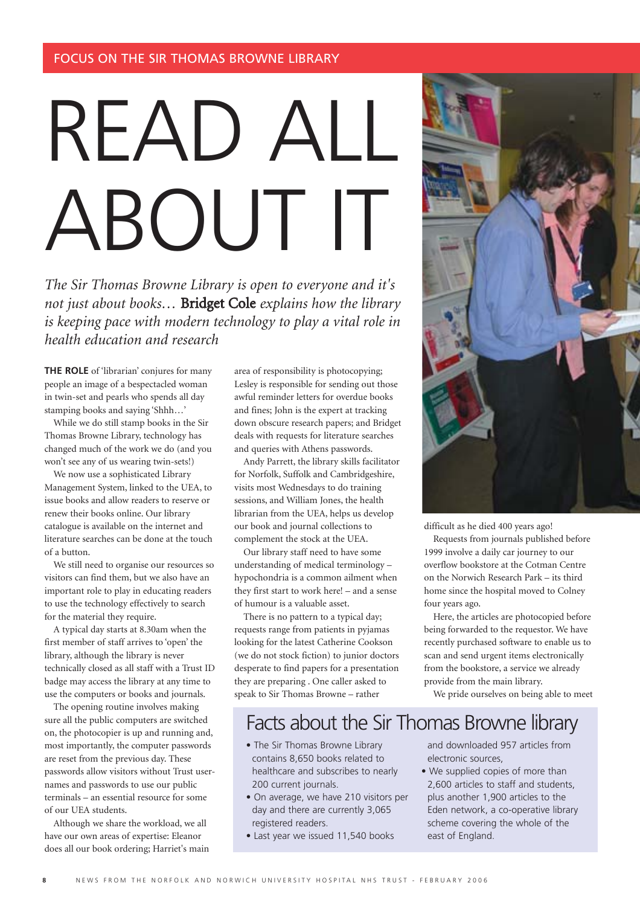# READ ALL ABOUT IT

*The Sir Thomas Browne Library is open to everyone and it's not just about books…* Bridget Cole *explains how the library is keeping pace with modern technology to play a vital role in health education and research*

**THE ROLE** of 'librarian' conjures for many people an image of a bespectacled woman in twin-set and pearls who spends all day stamping books and saying 'Shhh…'

While we do still stamp books in the Sir Thomas Browne Library, technology has changed much of the work we do (and you won't see any of us wearing twin-sets!)

We now use a sophisticated Library Management System, linked to the UEA, to issue books and allow readers to reserve or renew their books online. Our library catalogue is available on the internet and literature searches can be done at the touch of a button.

We still need to organise our resources so visitors can find them, but we also have an important role to play in educating readers to use the technology effectively to search for the material they require.

A typical day starts at 8.30am when the first member of staff arrives to 'open' the library, although the library is never technically closed as all staff with a Trust ID badge may access the library at any time to use the computers or books and journals.

The opening routine involves making sure all the public computers are switched on, the photocopier is up and running and, most importantly, the computer passwords are reset from the previous day. These passwords allow visitors without Trust usernames and passwords to use our public terminals – an essential resource for some of our UEA students.

Although we share the workload, we all have our own areas of expertise: Eleanor does all our book ordering; Harriet's main area of responsibility is photocopying; Lesley is responsible for sending out those awful reminder letters for overdue books and fines; John is the expert at tracking down obscure research papers; and Bridget deals with requests for literature searches and queries with Athens passwords.

Andy Parrett, the library skills facilitator for Norfolk, Suffolk and Cambridgeshire, visits most Wednesdays to do training sessions, and William Jones, the health librarian from the UEA, helps us develop our book and journal collections to complement the stock at the UEA.

Our library staff need to have some understanding of medical terminology – hypochondria is a common ailment when they first start to work here! – and a sense of humour is a valuable asset.

There is no pattern to a typical day; requests range from patients in pyjamas looking for the latest Catherine Cookson (we do not stock fiction) to junior doctors desperate to find papers for a presentation they are preparing . One caller asked to speak to Sir Thomas Browne – rather



difficult as he died 400 years ago!

Requests from journals published before 1999 involve a daily car journey to our overflow bookstore at the Cotman Centre on the Norwich Research Park – its third home since the hospital moved to Colney four years ago.

Here, the articles are photocopied before being forwarded to the requestor. We have recently purchased software to enable us to scan and send urgent items electronically from the bookstore, a service we already provide from the main library.

We pride ourselves on being able to meet

## Facts about the Sir Thomas Browne library

- The Sir Thomas Browne Library contains 8,650 books related to healthcare and subscribes to nearly 200 current journals.
- On average, we have 210 visitors per day and there are currently 3,065 registered readers.
- Last year we issued 11,540 books

and downloaded 957 articles from electronic sources,

• We supplied copies of more than 2,600 articles to staff and students, plus another 1,900 articles to the Eden network, a co-operative library scheme covering the whole of the east of England.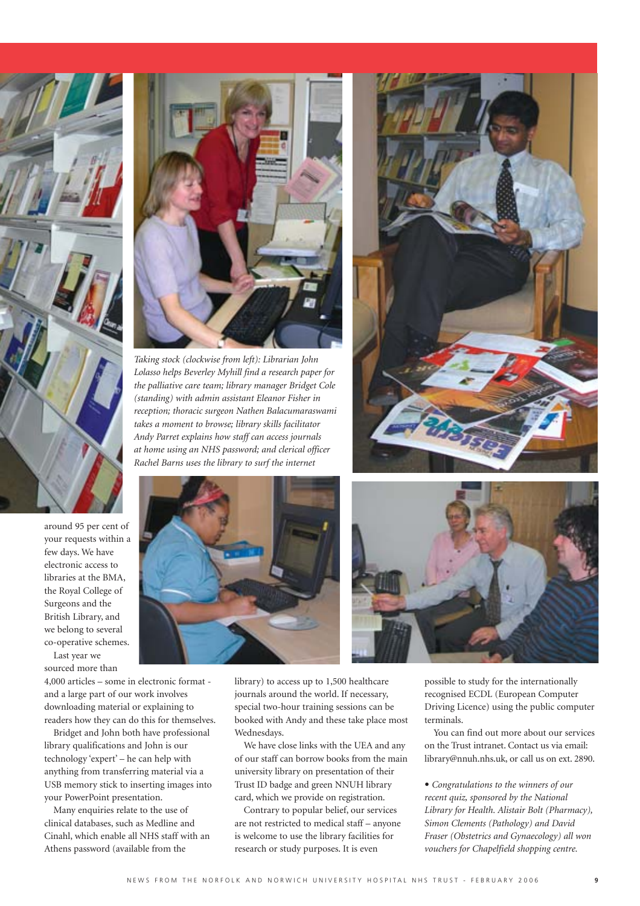

around 95 per cent of your requests within a few days. We have electronic access to libraries at the BMA, the Royal College of Surgeons and the British Library, and we belong to several co-operative schemes. Last year we

sourced more than

4,000 articles – some in electronic format and a large part of our work involves downloading material or explaining to readers how they can do this for themselves.

Bridget and John both have professional library qualifications and John is our technology 'expert' – he can help with anything from transferring material via a USB memory stick to inserting images into your PowerPoint presentation.

Many enquiries relate to the use of clinical databases, such as Medline and Cinahl, which enable all NHS staff with an Athens password (available from the



*Taking stock (clockwise from left): Librarian John Lolasso helps Beverley Myhill find a research paper for the palliative care team; library manager Bridget Cole (standing) with admin assistant Eleanor Fisher in reception; thoracic surgeon Nathen Balacumaraswami takes a moment to browse; library skills facilitator Andy Parret explains how staff can access journals at home using an NHS password; and clerical officer Rachel Barns uses the library to surf the internet*





library) to access up to 1,500 healthcare journals around the world. If necessary, special two-hour training sessions can be booked with Andy and these take place most Wednesdays.

We have close links with the UEA and any of our staff can borrow books from the main university library on presentation of their Trust ID badge and green NNUH library card, which we provide on registration.

Contrary to popular belief, our services are not restricted to medical staff – anyone is welcome to use the library facilities for research or study purposes. It is even

possible to study for the internationally recognised ECDL (European Computer Driving Licence) using the public computer terminals.

You can find out more about our services on the Trust intranet. Contact us via email: library@nnuh.nhs.uk, or call us on ext. 2890.

**•** *Congratulations to the winners of our recent quiz, sponsored by the National Library for Health. Alistair Bolt (Pharmacy), Simon Clements (Pathology) and David Fraser (Obstetrics and Gynaecology) all won vouchers for Chapelfield shopping centre.*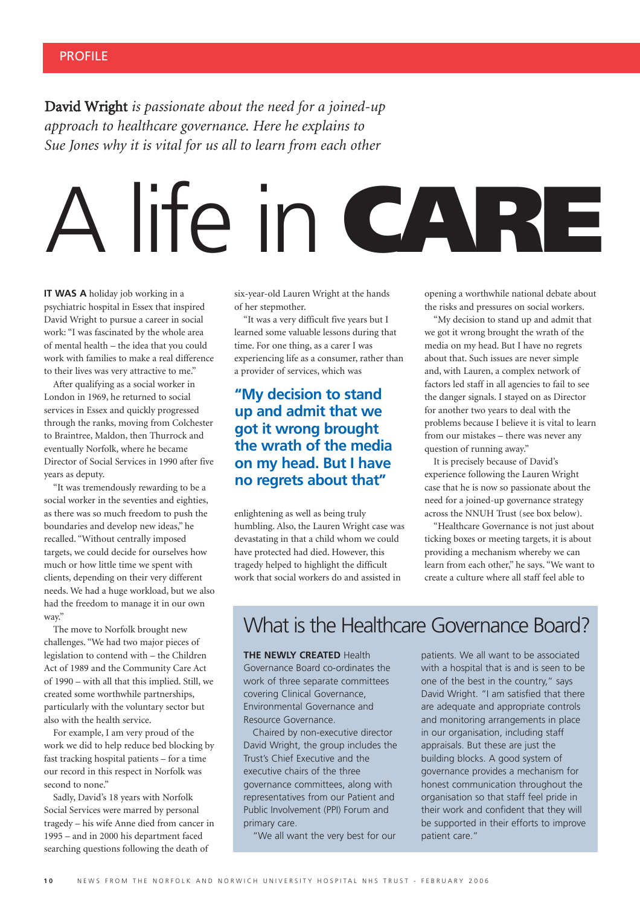David Wright *is passionate about the need for a joined-up approach to healthcare governance. Here he explains to Sue Jones why it is vital for us all to learn from each other*

# A life in **CARE**

**IT WAS A** holiday job working in a psychiatric hospital in Essex that inspired David Wright to pursue a career in social work: "I was fascinated by the whole area of mental health – the idea that you could work with families to make a real difference to their lives was very attractive to me."

After qualifying as a social worker in London in 1969, he returned to social services in Essex and quickly progressed through the ranks, moving from Colchester to Braintree, Maldon, then Thurrock and eventually Norfolk, where he became Director of Social Services in 1990 after five years as deputy.

"It was tremendously rewarding to be a social worker in the seventies and eighties, as there was so much freedom to push the boundaries and develop new ideas," he recalled. "Without centrally imposed targets, we could decide for ourselves how much or how little time we spent with clients, depending on their very different needs. We had a huge workload, but we also had the freedom to manage it in our own way."

The move to Norfolk brought new challenges. "We had two major pieces of legislation to contend with – the Children Act of 1989 and the Community Care Act of 1990 – with all that this implied. Still, we created some worthwhile partnerships, particularly with the voluntary sector but also with the health service.

For example, I am very proud of the work we did to help reduce bed blocking by fast tracking hospital patients – for a time our record in this respect in Norfolk was second to none."

Sadly, David's 18 years with Norfolk Social Services were marred by personal tragedy – his wife Anne died from cancer in 1995 – and in 2000 his department faced searching questions following the death of

six-year-old Lauren Wright at the hands of her stepmother.

"It was a very difficult five years but I learned some valuable lessons during that time. For one thing, as a carer I was experiencing life as a consumer, rather than a provider of services, which was

## **"My decision to stand up and admit that we got it wrong brought the wrath of the media on my head. But I have no regrets about that"**

enlightening as well as being truly humbling. Also, the Lauren Wright case was devastating in that a child whom we could have protected had died. However, this tragedy helped to highlight the difficult work that social workers do and assisted in

opening a worthwhile national debate about the risks and pressures on social workers.

"My decision to stand up and admit that we got it wrong brought the wrath of the media on my head. But I have no regrets about that. Such issues are never simple and, with Lauren, a complex network of factors led staff in all agencies to fail to see the danger signals. I stayed on as Director for another two years to deal with the problems because I believe it is vital to learn from our mistakes – there was never any question of running away."

It is precisely because of David's experience following the Lauren Wright case that he is now so passionate about the need for a joined-up governance strategy across the NNUH Trust (see box below).

"Healthcare Governance is not just about ticking boxes or meeting targets, it is about providing a mechanism whereby we can learn from each other," he says. "We want to create a culture where all staff feel able to

## What is the Healthcare Governance Board?

**THE NEWLY CREATED** Health Governance Board co-ordinates the

work of three separate committees covering Clinical Governance, Environmental Governance and Resource Governance.

Chaired by non-executive director David Wright, the group includes the Trust's Chief Executive and the executive chairs of the three governance committees, along with representatives from our Patient and Public Involvement (PPI) Forum and primary care.

"We all want the very best for our

patients. We all want to be associated with a hospital that is and is seen to be one of the best in the country," says David Wright. "I am satisfied that there are adequate and appropriate controls and monitoring arrangements in place in our organisation, including staff appraisals. But these are just the building blocks. A good system of governance provides a mechanism for honest communication throughout the organisation so that staff feel pride in their work and confident that they will be supported in their efforts to improve patient care."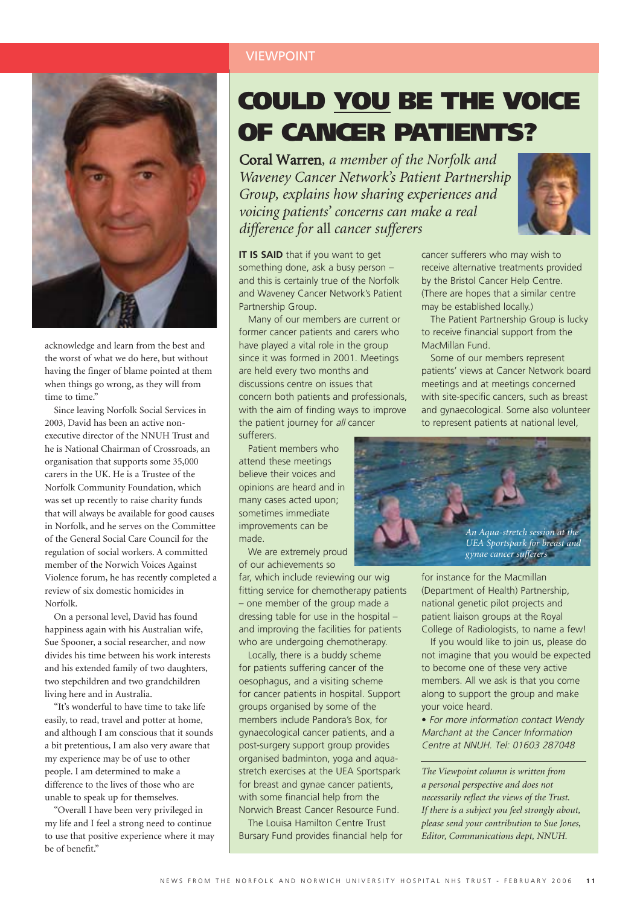

acknowledge and learn from the best and the worst of what we do here, but without having the finger of blame pointed at them when things go wrong, as they will from time to time."

Since leaving Norfolk Social Services in 2003, David has been an active nonexecutive director of the NNUH Trust and he is National Chairman of Crossroads, an organisation that supports some 35,000 carers in the UK. He is a Trustee of the Norfolk Community Foundation, which was set up recently to raise charity funds that will always be available for good causes in Norfolk, and he serves on the Committee of the General Social Care Council for the regulation of social workers. A committed member of the Norwich Voices Against Violence forum, he has recently completed a review of six domestic homicides in Norfolk.

On a personal level, David has found happiness again with his Australian wife, Sue Spooner, a social researcher, and now divides his time between his work interests and his extended family of two daughters, two stepchildren and two grandchildren living here and in Australia.

"It's wonderful to have time to take life easily, to read, travel and potter at home, and although I am conscious that it sounds a bit pretentious, I am also very aware that my experience may be of use to other people. I am determined to make a difference to the lives of those who are unable to speak up for themselves.

"Overall I have been very privileged in my life and I feel a strong need to continue to use that positive experience where it may be of benefit."

## VIEWPOINT

## **COULD YOU BE THE VOICE OF CANCER PATIENTS?**

Coral Warren*, a member of the Norfolk and Waveney Cancer Network's Patient Partnership Group, explains how sharing experiences and voicing patients' concerns can make a real difference for* all *cancer sufferers*



**IT IS SAID** that if you want to get something done, ask a busy person – and this is certainly true of the Norfolk and Waveney Cancer Network's Patient Partnership Group.

Many of our members are current or former cancer patients and carers who have played a vital role in the group since it was formed in 2001. Meetings are held every two months and discussions centre on issues that concern both patients and professionals, with the aim of finding ways to improve the patient journey for all cancer sufferers.

Patient members who attend these meetings believe their voices and opinions are heard and in many cases acted upon; sometimes immediate improvements can be made.

We are extremely proud of our achievements so

far, which include reviewing our wig fitting service for chemotherapy patients – one member of the group made a dressing table for use in the hospital – and improving the facilities for patients who are undergoing chemotherapy.

Locally, there is a buddy scheme for patients suffering cancer of the oesophagus, and a visiting scheme for cancer patients in hospital. Support groups organised by some of the members include Pandora's Box, for gynaecological cancer patients, and a post-surgery support group provides organised badminton, yoga and aquastretch exercises at the UEA Sportspark for breast and gynae cancer patients, with some financial help from the Norwich Breast Cancer Resource Fund.

The Louisa Hamilton Centre Trust Bursary Fund provides financial help for

cancer sufferers who may wish to receive alternative treatments provided by the Bristol Cancer Help Centre. (There are hopes that a similar centre may be established locally.)

The Patient Partnership Group is lucky to receive financial support from the MacMillan Fund.

Some of our members represent patients' views at Cancer Network board meetings and at meetings concerned with site-specific cancers, such as breast and gynaecological. Some also volunteer to represent patients at national level,



for instance for the Macmillan (Department of Health) Partnership, national genetic pilot projects and patient liaison groups at the Royal College of Radiologists, to name a few!

If you would like to join us, please do not imagine that you would be expected to become one of these very active members. All we ask is that you come along to support the group and make your voice heard.

**•** For more information contact Wendy Marchant at the Cancer Information Centre at NNUH. Tel: 01603 287048

*The Viewpoint column is written from a personal perspective and does not necessarily reflect the views of the Trust. If there is a subject you feel strongly about, please send your contribution to Sue Jones, Editor, Communications dept, NNUH.*